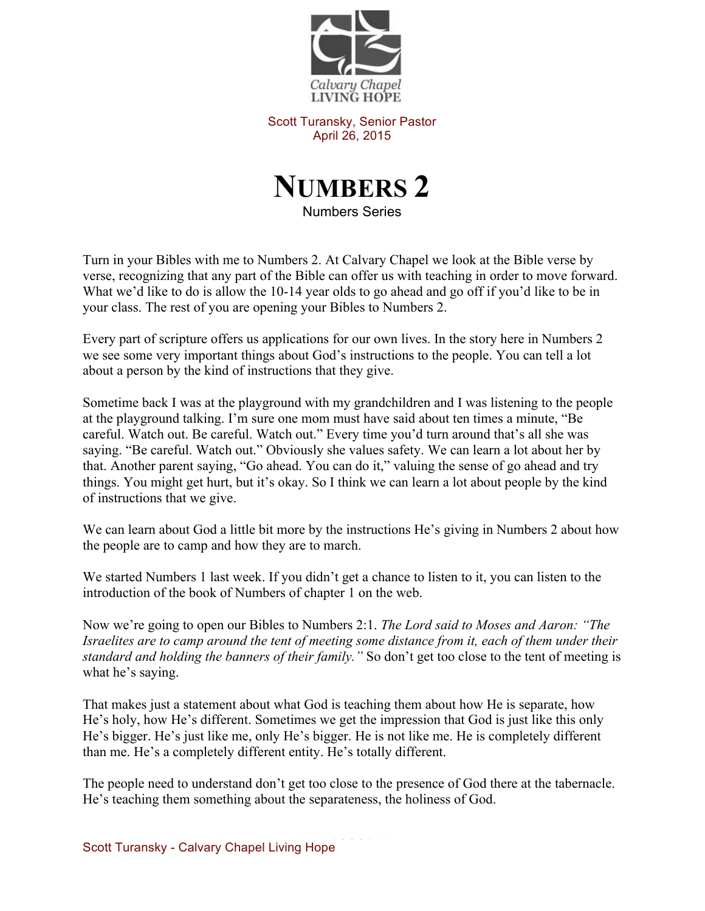

Scott Turansky, Senior Pastor April 26, 2015



Numbers Series

Turn in your Bibles with me to Numbers 2. At Calvary Chapel we look at the Bible verse by verse, recognizing that any part of the Bible can offer us with teaching in order to move forward. What we'd like to do is allow the 10-14 year olds to go ahead and go off if you'd like to be in your class. The rest of you are opening your Bibles to Numbers 2.

Every part of scripture offers us applications for our own lives. In the story here in Numbers 2 we see some very important things about God's instructions to the people. You can tell a lot about a person by the kind of instructions that they give.

Sometime back I was at the playground with my grandchildren and I was listening to the people at the playground talking. I'm sure one mom must have said about ten times a minute, "Be careful. Watch out. Be careful. Watch out." Every time you'd turn around that's all she was saying. "Be careful. Watch out." Obviously she values safety. We can learn a lot about her by that. Another parent saying, "Go ahead. You can do it," valuing the sense of go ahead and try things. You might get hurt, but it's okay. So I think we can learn a lot about people by the kind of instructions that we give.

We can learn about God a little bit more by the instructions He's giving in Numbers 2 about how the people are to camp and how they are to march.

We started Numbers 1 last week. If you didn't get a chance to listen to it, you can listen to the introduction of the book of Numbers of chapter 1 on the web.

Now we're going to open our Bibles to Numbers 2:1. *The Lord said to Moses and Aaron: "The Israelites are to camp around the tent of meeting some distance from it, each of them under their standard and holding the banners of their family."* So don't get too close to the tent of meeting is what he's saying.

That makes just a statement about what God is teaching them about how He is separate, how He's holy, how He's different. Sometimes we get the impression that God is just like this only He's bigger. He's just like me, only He's bigger. He is not like me. He is completely different than me. He's a completely different entity. He's totally different.

The people need to understand don't get too close to the presence of God there at the tabernacle. He's teaching them something about the separateness, the holiness of God.

Scott Turansky - Calvary Chapel Living Hope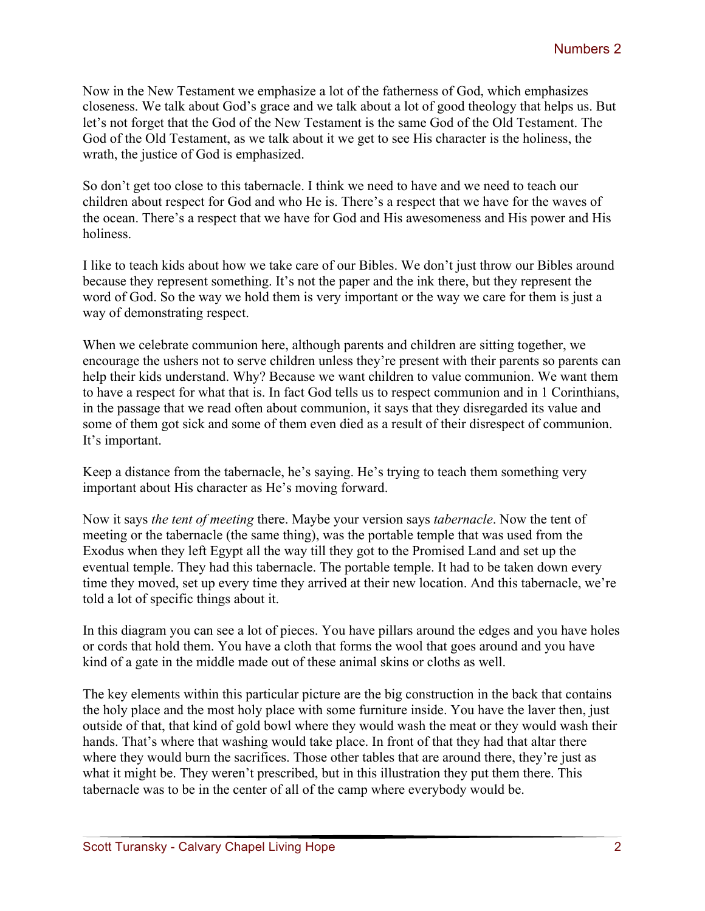Now in the New Testament we emphasize a lot of the fatherness of God, which emphasizes closeness. We talk about God's grace and we talk about a lot of good theology that helps us. But let's not forget that the God of the New Testament is the same God of the Old Testament. The God of the Old Testament, as we talk about it we get to see His character is the holiness, the wrath, the justice of God is emphasized.

So don't get too close to this tabernacle. I think we need to have and we need to teach our children about respect for God and who He is. There's a respect that we have for the waves of the ocean. There's a respect that we have for God and His awesomeness and His power and His holiness.

I like to teach kids about how we take care of our Bibles. We don't just throw our Bibles around because they represent something. It's not the paper and the ink there, but they represent the word of God. So the way we hold them is very important or the way we care for them is just a way of demonstrating respect.

When we celebrate communion here, although parents and children are sitting together, we encourage the ushers not to serve children unless they're present with their parents so parents can help their kids understand. Why? Because we want children to value communion. We want them to have a respect for what that is. In fact God tells us to respect communion and in 1 Corinthians, in the passage that we read often about communion, it says that they disregarded its value and some of them got sick and some of them even died as a result of their disrespect of communion. It's important.

Keep a distance from the tabernacle, he's saying. He's trying to teach them something very important about His character as He's moving forward.

Now it says *the tent of meeting* there. Maybe your version says *tabernacle*. Now the tent of meeting or the tabernacle (the same thing), was the portable temple that was used from the Exodus when they left Egypt all the way till they got to the Promised Land and set up the eventual temple. They had this tabernacle. The portable temple. It had to be taken down every time they moved, set up every time they arrived at their new location. And this tabernacle, we're told a lot of specific things about it.

In this diagram you can see a lot of pieces. You have pillars around the edges and you have holes or cords that hold them. You have a cloth that forms the wool that goes around and you have kind of a gate in the middle made out of these animal skins or cloths as well.

The key elements within this particular picture are the big construction in the back that contains the holy place and the most holy place with some furniture inside. You have the laver then, just outside of that, that kind of gold bowl where they would wash the meat or they would wash their hands. That's where that washing would take place. In front of that they had that altar there where they would burn the sacrifices. Those other tables that are around there, they're just as what it might be. They weren't prescribed, but in this illustration they put them there. This tabernacle was to be in the center of all of the camp where everybody would be.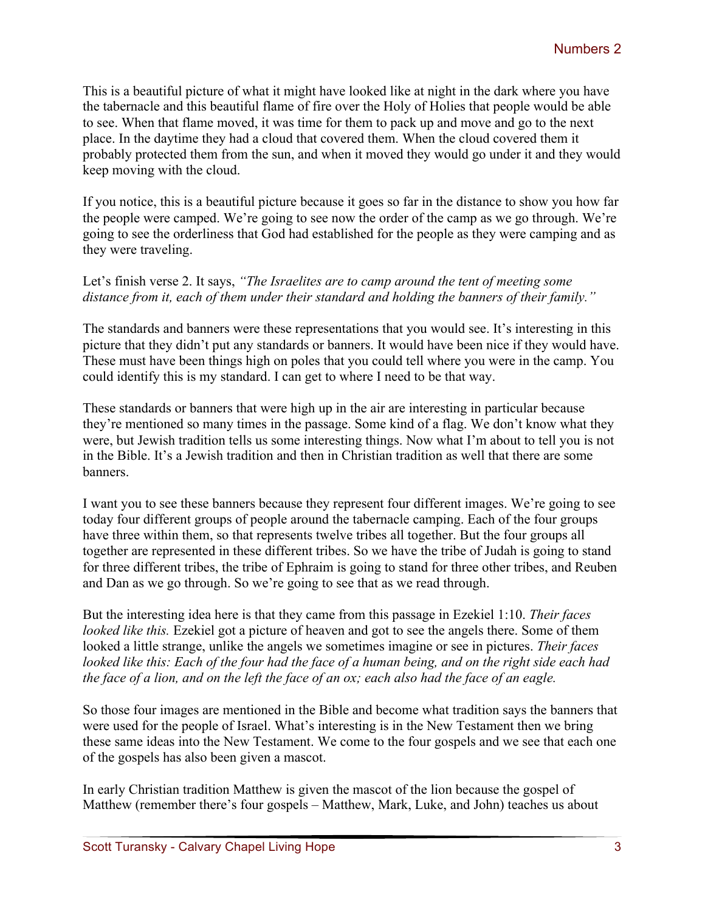This is a beautiful picture of what it might have looked like at night in the dark where you have the tabernacle and this beautiful flame of fire over the Holy of Holies that people would be able to see. When that flame moved, it was time for them to pack up and move and go to the next place. In the daytime they had a cloud that covered them. When the cloud covered them it probably protected them from the sun, and when it moved they would go under it and they would keep moving with the cloud.

If you notice, this is a beautiful picture because it goes so far in the distance to show you how far the people were camped. We're going to see now the order of the camp as we go through. We're going to see the orderliness that God had established for the people as they were camping and as they were traveling.

## Let's finish verse 2. It says, *"The Israelites are to camp around the tent of meeting some distance from it, each of them under their standard and holding the banners of their family."*

The standards and banners were these representations that you would see. It's interesting in this picture that they didn't put any standards or banners. It would have been nice if they would have. These must have been things high on poles that you could tell where you were in the camp. You could identify this is my standard. I can get to where I need to be that way.

These standards or banners that were high up in the air are interesting in particular because they're mentioned so many times in the passage. Some kind of a flag. We don't know what they were, but Jewish tradition tells us some interesting things. Now what I'm about to tell you is not in the Bible. It's a Jewish tradition and then in Christian tradition as well that there are some banners.

I want you to see these banners because they represent four different images. We're going to see today four different groups of people around the tabernacle camping. Each of the four groups have three within them, so that represents twelve tribes all together. But the four groups all together are represented in these different tribes. So we have the tribe of Judah is going to stand for three different tribes, the tribe of Ephraim is going to stand for three other tribes, and Reuben and Dan as we go through. So we're going to see that as we read through.

But the interesting idea here is that they came from this passage in Ezekiel 1:10. *Their faces looked like this.* Ezekiel got a picture of heaven and got to see the angels there. Some of them looked a little strange, unlike the angels we sometimes imagine or see in pictures. *Their faces looked like this: Each of the four had the face of a human being, and on the right side each had the face of a lion, and on the left the face of an ox; each also had the face of an eagle.*

So those four images are mentioned in the Bible and become what tradition says the banners that were used for the people of Israel. What's interesting is in the New Testament then we bring these same ideas into the New Testament. We come to the four gospels and we see that each one of the gospels has also been given a mascot.

In early Christian tradition Matthew is given the mascot of the lion because the gospel of Matthew (remember there's four gospels – Matthew, Mark, Luke, and John) teaches us about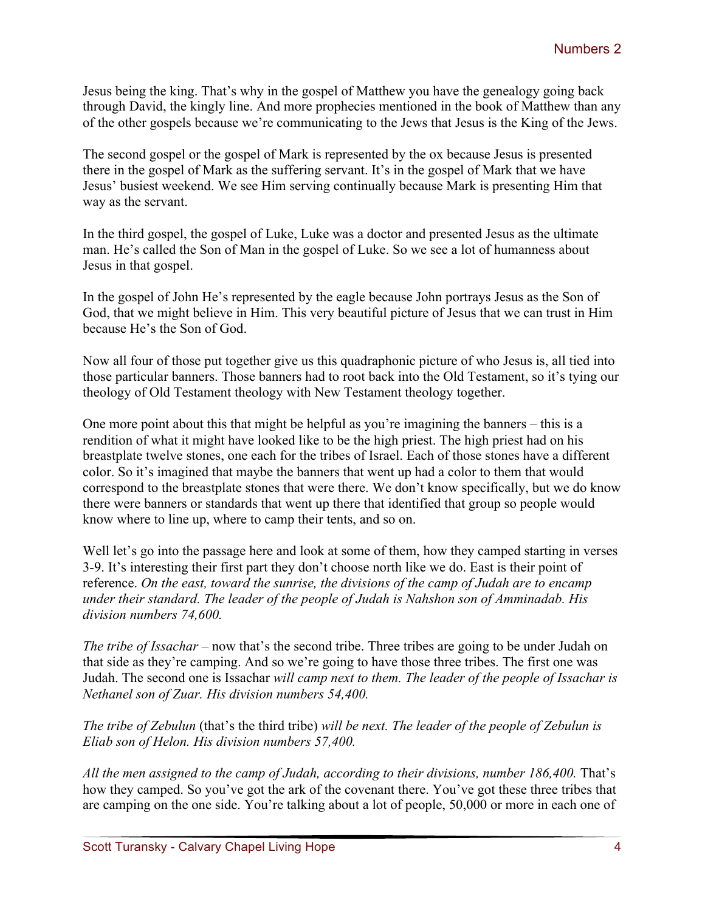Jesus being the king. That's why in the gospel of Matthew you have the genealogy going back through David, the kingly line. And more prophecies mentioned in the book of Matthew than any of the other gospels because we're communicating to the Jews that Jesus is the King of the Jews.

The second gospel or the gospel of Mark is represented by the ox because Jesus is presented there in the gospel of Mark as the suffering servant. It's in the gospel of Mark that we have Jesus' busiest weekend. We see Him serving continually because Mark is presenting Him that way as the servant.

In the third gospel, the gospel of Luke, Luke was a doctor and presented Jesus as the ultimate man. He's called the Son of Man in the gospel of Luke. So we see a lot of humanness about Jesus in that gospel.

In the gospel of John He's represented by the eagle because John portrays Jesus as the Son of God, that we might believe in Him. This very beautiful picture of Jesus that we can trust in Him because He's the Son of God.

Now all four of those put together give us this quadraphonic picture of who Jesus is, all tied into those particular banners. Those banners had to root back into the Old Testament, so it's tying our theology of Old Testament theology with New Testament theology together.

One more point about this that might be helpful as you're imagining the banners – this is a rendition of what it might have looked like to be the high priest. The high priest had on his breastplate twelve stones, one each for the tribes of Israel. Each of those stones have a different color. So it's imagined that maybe the banners that went up had a color to them that would correspond to the breastplate stones that were there. We don't know specifically, but we do know there were banners or standards that went up there that identified that group so people would know where to line up, where to camp their tents, and so on.

Well let's go into the passage here and look at some of them, how they camped starting in verses 3-9. It's interesting their first part they don't choose north like we do. East is their point of reference. *On the east, toward the sunrise, the divisions of the camp of Judah are to encamp under their standard. The leader of the people of Judah is Nahshon son of Amminadab. His division numbers 74,600.*

*The tribe of Issachar* – now that's the second tribe. Three tribes are going to be under Judah on that side as they're camping. And so we're going to have those three tribes. The first one was Judah. The second one is Issachar *will camp next to them. The leader of the people of Issachar is Nethanel son of Zuar. His division numbers 54,400.*

*The tribe of Zebulun* (that's the third tribe) *will be next. The leader of the people of Zebulun is Eliab son of Helon. His division numbers 57,400.*

*All the men assigned to the camp of Judah, according to their divisions, number 186,400.* That's how they camped. So you've got the ark of the covenant there. You've got these three tribes that are camping on the one side. You're talking about a lot of people, 50,000 or more in each one of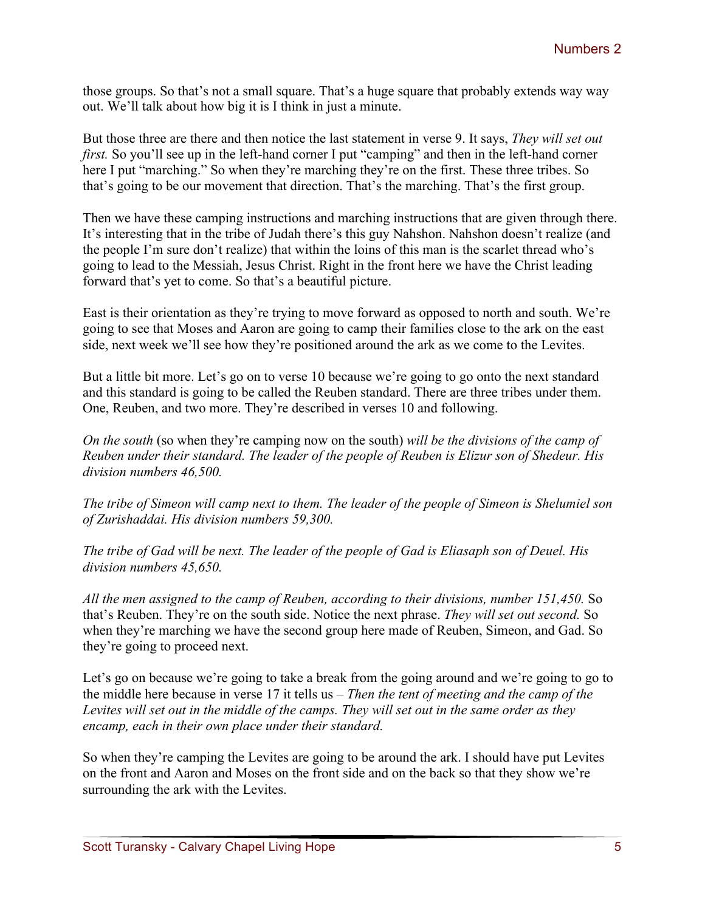those groups. So that's not a small square. That's a huge square that probably extends way way out. We'll talk about how big it is I think in just a minute.

But those three are there and then notice the last statement in verse 9. It says, *They will set out first.* So you'll see up in the left-hand corner I put "camping" and then in the left-hand corner here I put "marching." So when they're marching they're on the first. These three tribes. So that's going to be our movement that direction. That's the marching. That's the first group.

Then we have these camping instructions and marching instructions that are given through there. It's interesting that in the tribe of Judah there's this guy Nahshon. Nahshon doesn't realize (and the people I'm sure don't realize) that within the loins of this man is the scarlet thread who's going to lead to the Messiah, Jesus Christ. Right in the front here we have the Christ leading forward that's yet to come. So that's a beautiful picture.

East is their orientation as they're trying to move forward as opposed to north and south. We're going to see that Moses and Aaron are going to camp their families close to the ark on the east side, next week we'll see how they're positioned around the ark as we come to the Levites.

But a little bit more. Let's go on to verse 10 because we're going to go onto the next standard and this standard is going to be called the Reuben standard. There are three tribes under them. One, Reuben, and two more. They're described in verses 10 and following.

*On the south* (so when they're camping now on the south) *will be the divisions of the camp of Reuben under their standard. The leader of the people of Reuben is Elizur son of Shedeur. His division numbers 46,500.*

*The tribe of Simeon will camp next to them. The leader of the people of Simeon is Shelumiel son of Zurishaddai. His division numbers 59,300.*

*The tribe of Gad will be next. The leader of the people of Gad is Eliasaph son of Deuel. His division numbers 45,650.*

*All the men assigned to the camp of Reuben, according to their divisions, number 151,450.* So that's Reuben. They're on the south side. Notice the next phrase. *They will set out second.* So when they're marching we have the second group here made of Reuben, Simeon, and Gad. So they're going to proceed next.

Let's go on because we're going to take a break from the going around and we're going to go to the middle here because in verse 17 it tells us – *Then the tent of meeting and the camp of the Levites will set out in the middle of the camps. They will set out in the same order as they encamp, each in their own place under their standard.*

So when they're camping the Levites are going to be around the ark. I should have put Levites on the front and Aaron and Moses on the front side and on the back so that they show we're surrounding the ark with the Levites.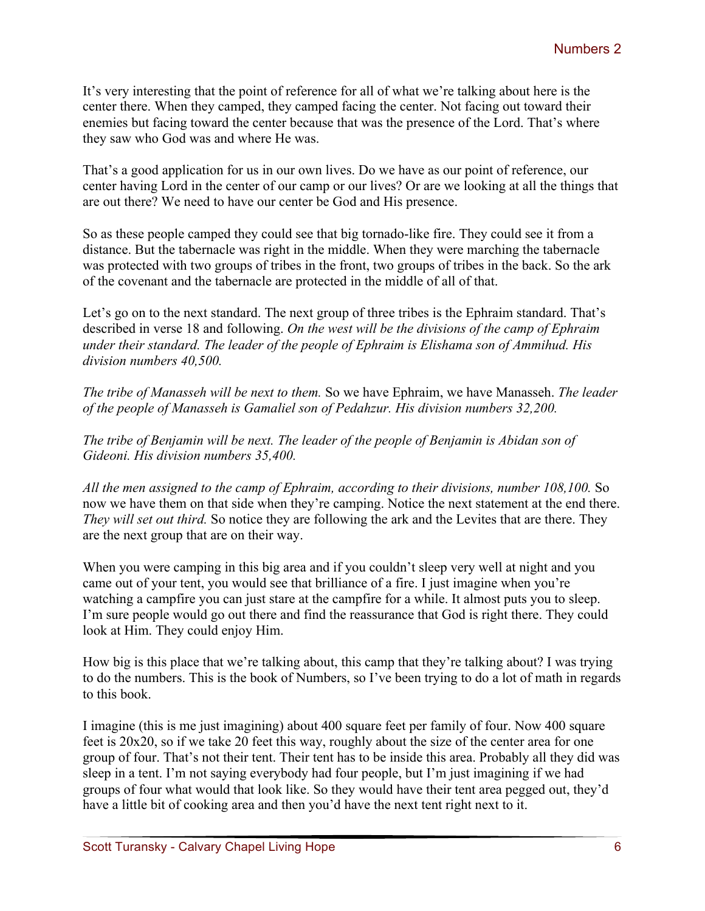It's very interesting that the point of reference for all of what we're talking about here is the center there. When they camped, they camped facing the center. Not facing out toward their enemies but facing toward the center because that was the presence of the Lord. That's where they saw who God was and where He was.

That's a good application for us in our own lives. Do we have as our point of reference, our center having Lord in the center of our camp or our lives? Or are we looking at all the things that are out there? We need to have our center be God and His presence.

So as these people camped they could see that big tornado-like fire. They could see it from a distance. But the tabernacle was right in the middle. When they were marching the tabernacle was protected with two groups of tribes in the front, two groups of tribes in the back. So the ark of the covenant and the tabernacle are protected in the middle of all of that.

Let's go on to the next standard. The next group of three tribes is the Ephraim standard. That's described in verse 18 and following. *On the west will be the divisions of the camp of Ephraim under their standard. The leader of the people of Ephraim is Elishama son of Ammihud. His division numbers 40,500.*

*The tribe of Manasseh will be next to them.* So we have Ephraim, we have Manasseh. *The leader of the people of Manasseh is Gamaliel son of Pedahzur. His division numbers 32,200.*

*The tribe of Benjamin will be next. The leader of the people of Benjamin is Abidan son of Gideoni. His division numbers 35,400.*

*All the men assigned to the camp of Ephraim, according to their divisions, number 108,100.* So now we have them on that side when they're camping. Notice the next statement at the end there. *They will set out third.* So notice they are following the ark and the Levites that are there. They are the next group that are on their way.

When you were camping in this big area and if you couldn't sleep very well at night and you came out of your tent, you would see that brilliance of a fire. I just imagine when you're watching a campfire you can just stare at the campfire for a while. It almost puts you to sleep. I'm sure people would go out there and find the reassurance that God is right there. They could look at Him. They could enjoy Him.

How big is this place that we're talking about, this camp that they're talking about? I was trying to do the numbers. This is the book of Numbers, so I've been trying to do a lot of math in regards to this book.

I imagine (this is me just imagining) about 400 square feet per family of four. Now 400 square feet is 20x20, so if we take 20 feet this way, roughly about the size of the center area for one group of four. That's not their tent. Their tent has to be inside this area. Probably all they did was sleep in a tent. I'm not saying everybody had four people, but I'm just imagining if we had groups of four what would that look like. So they would have their tent area pegged out, they'd have a little bit of cooking area and then you'd have the next tent right next to it.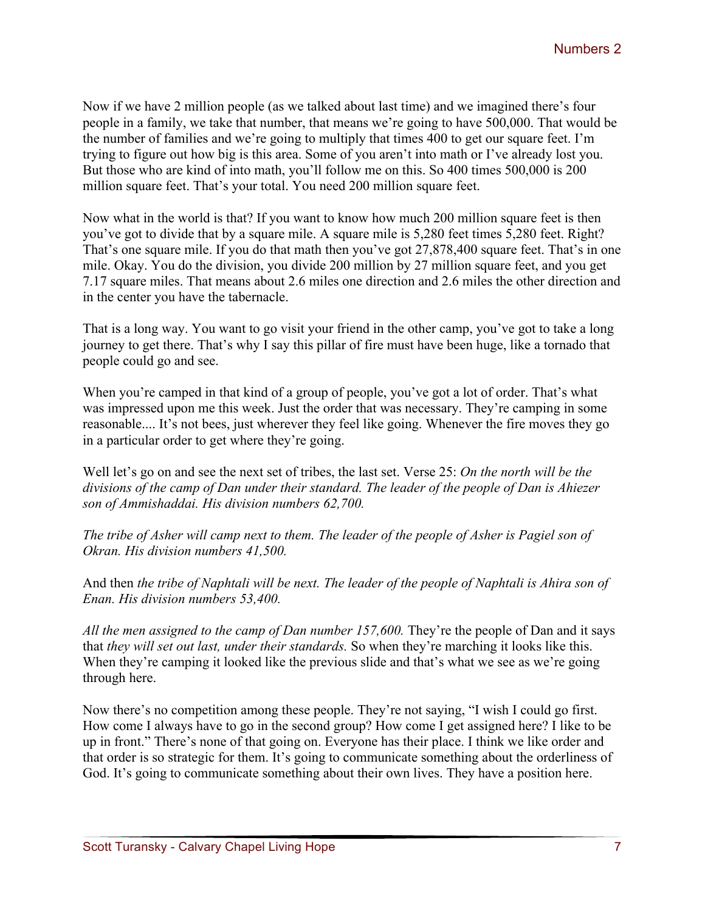Now if we have 2 million people (as we talked about last time) and we imagined there's four people in a family, we take that number, that means we're going to have 500,000. That would be the number of families and we're going to multiply that times 400 to get our square feet. I'm trying to figure out how big is this area. Some of you aren't into math or I've already lost you. But those who are kind of into math, you'll follow me on this. So 400 times 500,000 is 200 million square feet. That's your total. You need 200 million square feet.

Now what in the world is that? If you want to know how much 200 million square feet is then you've got to divide that by a square mile. A square mile is 5,280 feet times 5,280 feet. Right? That's one square mile. If you do that math then you've got 27,878,400 square feet. That's in one mile. Okay. You do the division, you divide 200 million by 27 million square feet, and you get 7.17 square miles. That means about 2.6 miles one direction and 2.6 miles the other direction and in the center you have the tabernacle.

That is a long way. You want to go visit your friend in the other camp, you've got to take a long journey to get there. That's why I say this pillar of fire must have been huge, like a tornado that people could go and see.

When you're camped in that kind of a group of people, you've got a lot of order. That's what was impressed upon me this week. Just the order that was necessary. They're camping in some reasonable.... It's not bees, just wherever they feel like going. Whenever the fire moves they go in a particular order to get where they're going.

Well let's go on and see the next set of tribes, the last set. Verse 25: *On the north will be the divisions of the camp of Dan under their standard. The leader of the people of Dan is Ahiezer son of Ammishaddai. His division numbers 62,700.*

*The tribe of Asher will camp next to them. The leader of the people of Asher is Pagiel son of Okran. His division numbers 41,500.*

And then *the tribe of Naphtali will be next. The leader of the people of Naphtali is Ahira son of Enan. His division numbers 53,400.*

*All the men assigned to the camp of Dan number 157,600.* They're the people of Dan and it says that *they will set out last, under their standards.* So when they're marching it looks like this. When they're camping it looked like the previous slide and that's what we see as we're going through here.

Now there's no competition among these people. They're not saying, "I wish I could go first. How come I always have to go in the second group? How come I get assigned here? I like to be up in front." There's none of that going on. Everyone has their place. I think we like order and that order is so strategic for them. It's going to communicate something about the orderliness of God. It's going to communicate something about their own lives. They have a position here.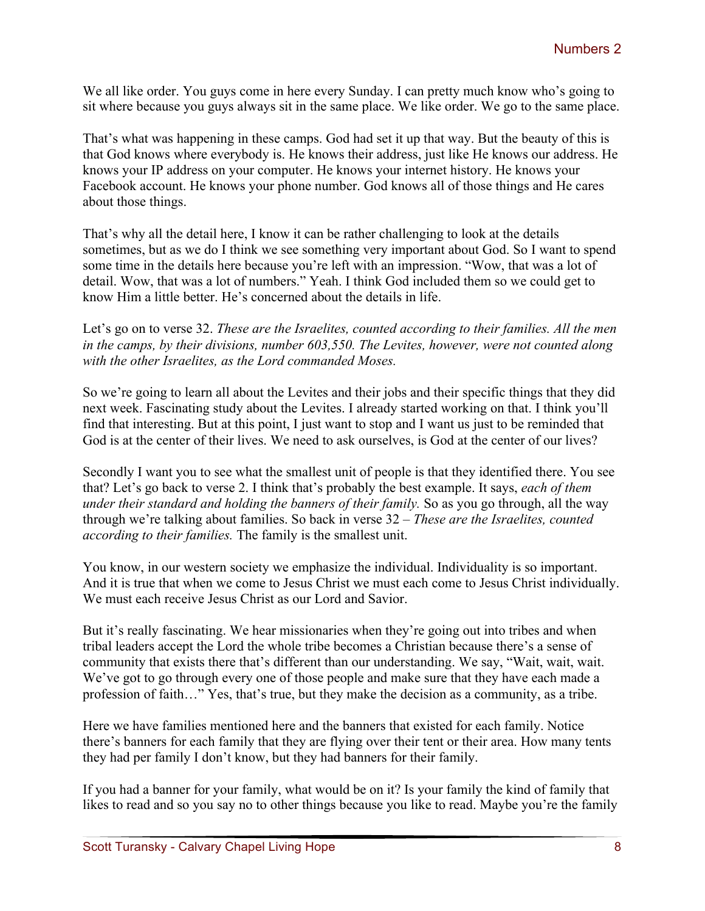We all like order. You guys come in here every Sunday. I can pretty much know who's going to sit where because you guys always sit in the same place. We like order. We go to the same place.

That's what was happening in these camps. God had set it up that way. But the beauty of this is that God knows where everybody is. He knows their address, just like He knows our address. He knows your IP address on your computer. He knows your internet history. He knows your Facebook account. He knows your phone number. God knows all of those things and He cares about those things.

That's why all the detail here, I know it can be rather challenging to look at the details sometimes, but as we do I think we see something very important about God. So I want to spend some time in the details here because you're left with an impression. "Wow, that was a lot of detail. Wow, that was a lot of numbers." Yeah. I think God included them so we could get to know Him a little better. He's concerned about the details in life.

Let's go on to verse 32. *These are the Israelites, counted according to their families. All the men in the camps, by their divisions, number 603,550. The Levites, however, were not counted along with the other Israelites, as the Lord commanded Moses.*

So we're going to learn all about the Levites and their jobs and their specific things that they did next week. Fascinating study about the Levites. I already started working on that. I think you'll find that interesting. But at this point, I just want to stop and I want us just to be reminded that God is at the center of their lives. We need to ask ourselves, is God at the center of our lives?

Secondly I want you to see what the smallest unit of people is that they identified there. You see that? Let's go back to verse 2. I think that's probably the best example. It says, *each of them under their standard and holding the banners of their family.* So as you go through, all the way through we're talking about families. So back in verse 32 – *These are the Israelites, counted according to their families.* The family is the smallest unit.

You know, in our western society we emphasize the individual. Individuality is so important. And it is true that when we come to Jesus Christ we must each come to Jesus Christ individually. We must each receive Jesus Christ as our Lord and Savior.

But it's really fascinating. We hear missionaries when they're going out into tribes and when tribal leaders accept the Lord the whole tribe becomes a Christian because there's a sense of community that exists there that's different than our understanding. We say, "Wait, wait, wait. We've got to go through every one of those people and make sure that they have each made a profession of faith…" Yes, that's true, but they make the decision as a community, as a tribe.

Here we have families mentioned here and the banners that existed for each family. Notice there's banners for each family that they are flying over their tent or their area. How many tents they had per family I don't know, but they had banners for their family.

If you had a banner for your family, what would be on it? Is your family the kind of family that likes to read and so you say no to other things because you like to read. Maybe you're the family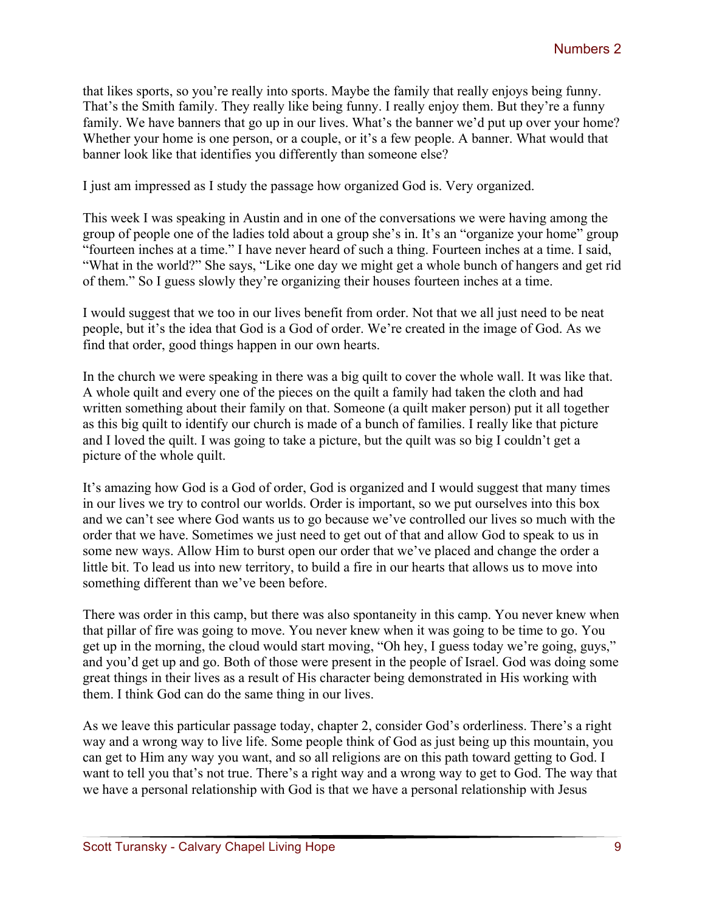that likes sports, so you're really into sports. Maybe the family that really enjoys being funny. That's the Smith family. They really like being funny. I really enjoy them. But they're a funny family. We have banners that go up in our lives. What's the banner we'd put up over your home? Whether your home is one person, or a couple, or it's a few people. A banner. What would that banner look like that identifies you differently than someone else?

I just am impressed as I study the passage how organized God is. Very organized.

This week I was speaking in Austin and in one of the conversations we were having among the group of people one of the ladies told about a group she's in. It's an "organize your home" group "fourteen inches at a time." I have never heard of such a thing. Fourteen inches at a time. I said, "What in the world?" She says, "Like one day we might get a whole bunch of hangers and get rid of them." So I guess slowly they're organizing their houses fourteen inches at a time.

I would suggest that we too in our lives benefit from order. Not that we all just need to be neat people, but it's the idea that God is a God of order. We're created in the image of God. As we find that order, good things happen in our own hearts.

In the church we were speaking in there was a big quilt to cover the whole wall. It was like that. A whole quilt and every one of the pieces on the quilt a family had taken the cloth and had written something about their family on that. Someone (a quilt maker person) put it all together as this big quilt to identify our church is made of a bunch of families. I really like that picture and I loved the quilt. I was going to take a picture, but the quilt was so big I couldn't get a picture of the whole quilt.

It's amazing how God is a God of order, God is organized and I would suggest that many times in our lives we try to control our worlds. Order is important, so we put ourselves into this box and we can't see where God wants us to go because we've controlled our lives so much with the order that we have. Sometimes we just need to get out of that and allow God to speak to us in some new ways. Allow Him to burst open our order that we've placed and change the order a little bit. To lead us into new territory, to build a fire in our hearts that allows us to move into something different than we've been before.

There was order in this camp, but there was also spontaneity in this camp. You never knew when that pillar of fire was going to move. You never knew when it was going to be time to go. You get up in the morning, the cloud would start moving, "Oh hey, I guess today we're going, guys," and you'd get up and go. Both of those were present in the people of Israel. God was doing some great things in their lives as a result of His character being demonstrated in His working with them. I think God can do the same thing in our lives.

As we leave this particular passage today, chapter 2, consider God's orderliness. There's a right way and a wrong way to live life. Some people think of God as just being up this mountain, you can get to Him any way you want, and so all religions are on this path toward getting to God. I want to tell you that's not true. There's a right way and a wrong way to get to God. The way that we have a personal relationship with God is that we have a personal relationship with Jesus